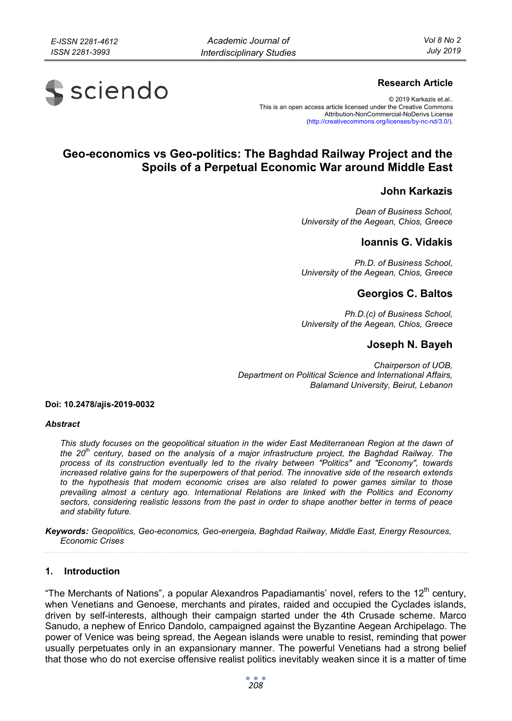# s sciendo

## **Research Article**

© 2019 Karkazis et.al.. This is an open access article licensed under the Creative Commons Attribution-NonCommercial-NoDerivs License (http://creativecommons.org/licenses/by-nc-nd/3.0/).

## **Geo-economics vs Geo-politics: The Baghdad Railway Project and the Spoils of a Perpetual Economic War around Middle East**

## **John Karkazis**

*Dean of Business School, University of the Aegean, Chios, Greece* 

### **Ioannis G. Vidakis**

*Ph.D. of Business School, University of the Aegean, Chios, Greece* 

## **Georgios C. Baltos**

*Ph.D.(c) of Business School, University of the Aegean, Chios, Greece* 

## **Joseph N. Bayeh**

*Chairperson of UOB, Department on Political Science and International Affairs, Balamand University, Beirut, Lebanon* 

#### **Doi: 10.2478/ajis-2019-0032**

#### *Abstract*

*This study focuses on the geopolitical situation in the wider East Mediterranean Region at the dawn of the 20th century, based on the analysis of a major infrastructure project, the Baghdad Railway. The process of its construction eventually led to the rivalry between "Politics" and "Economy", towards increased relative gains for the superpowers of that period. The innovative side of the research extends to the hypothesis that modern economic crises are also related to power games similar to those prevailing almost a century ago. International Relations are linked with the Politics and Economy sectors, considering realistic lessons from the past in order to shape another better in terms of peace and stability future.* 

*Keywords: Geopolitics, Geo-economics, Geo-energeia, Baghdad Railway, Middle East, Energy Resources, Economic Crises* 

#### **1. Introduction**

"The Merchants of Nations", a popular Alexandros Papadiamantis' novel, refers to the 12 $^{\text{th}}$  century, when Venetians and Genoese, merchants and pirates, raided and occupied the Cyclades islands, driven by self-interests, although their campaign started under the 4th Crusade scheme. Marco Sanudo, a nephew of Enrico Dandolo, campaigned against the Byzantine Aegean Archipelago. The power of Venice was being spread, the Aegean islands were unable to resist, reminding that power usually perpetuates only in an expansionary manner. The powerful Venetians had a strong belief that those who do not exercise offensive realist politics inevitably weaken since it is a matter of time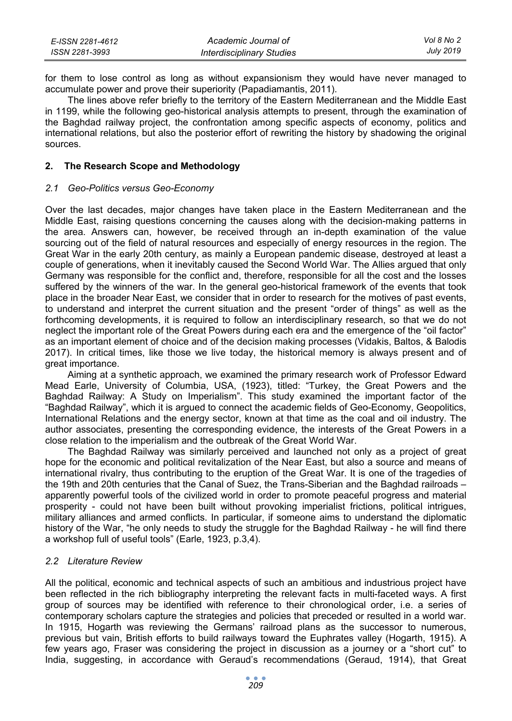| E-ISSN 2281-4612 | Academic Journal of              | Vol 8 No 2 |
|------------------|----------------------------------|------------|
| ISSN 2281-3993   | <b>Interdisciplinary Studies</b> | July 2019  |

for them to lose control as long as without expansionism they would have never managed to accumulate power and prove their superiority (Papadiamantis, 2011).

The lines above refer briefly to the territory of the Eastern Mediterranean and the Middle East in 1199, while the following geo-historical analysis attempts to present, through the examination of the Baghdad railway project, the confrontation among specific aspects of economy, politics and international relations, but also the posterior effort of rewriting the history by shadowing the original sources.

#### **2. The Research Scope and Methodology**

#### *2.1 Geo-Politics versus Geo-Economy*

Over the last decades, major changes have taken place in the Eastern Mediterranean and the Middle East, raising questions concerning the causes along with the decision-making patterns in the area. Answers can, however, be received through an in-depth examination of the value sourcing out of the field of natural resources and especially of energy resources in the region. The Great War in the early 20th century, as mainly a European pandemic disease, destroyed at least a couple of generations, when it inevitably caused the Second World War. The Allies argued that only Germany was responsible for the conflict and, therefore, responsible for all the cost and the losses suffered by the winners of the war. In the general geo-historical framework of the events that took place in the broader Near East, we consider that in order to research for the motives of past events, to understand and interpret the current situation and the present "order of things" as well as the forthcoming developments, it is required to follow an interdisciplinary research, so that we do not neglect the important role of the Great Powers during each era and the emergence of the "oil factor" as an important element of choice and of the decision making processes (Vidakis, Baltos, & Balodis 2017). In critical times, like those we live today, the historical memory is always present and of great importance.

Aiming at a synthetic approach, we examined the primary research work of Professor Edward Mead Earle, University of Columbia, USA, (1923), titled: "Turkey, the Great Powers and the Baghdad Railway: A Study on Imperialism". This study examined the important factor of the "Baghdad Railway", which it is argued to connect the academic fields of Geo-Economy, Geopolitics, International Relations and the energy sector, known at that time as the coal and oil industry. The author associates, presenting the corresponding evidence, the interests of the Great Powers in a close relation to the imperialism and the outbreak of the Great World War.

The Baghdad Railway was similarly perceived and launched not only as a project of great hope for the economic and political revitalization of the Near East, but also a source and means of international rivalry, thus contributing to the eruption of the Great War. It is one of the tragedies of the 19th and 20th centuries that the Canal of Suez, the Trans-Siberian and the Baghdad railroads – apparently powerful tools of the civilized world in order to promote peaceful progress and material prosperity - could not have been built without provoking imperialist frictions, political intrigues, military alliances and armed conflicts. In particular, if someone aims to understand the diplomatic history of the War, "he only needs to study the struggle for the Baghdad Railway - he will find there a workshop full of useful tools" (Earle, 1923, p.3,4).

#### *2.2 Literature Review*

All the political, economic and technical aspects of such an ambitious and industrious project have been reflected in the rich bibliography interpreting the relevant facts in multi-faceted ways. A first group of sources may be identified with reference to their chronological order, i.e. a series of contemporary scholars capture the strategies and policies that preceded or resulted in a world war. In 1915, Hogarth was reviewing the Germans' railroad plans as the successor to numerous, previous but vain, British efforts to build railways toward the Euphrates valley (Hogarth, 1915). A few years ago, Fraser was considering the project in discussion as a journey or a "short cut" to India, suggesting, in accordance with Geraud's recommendations (Geraud, 1914), that Great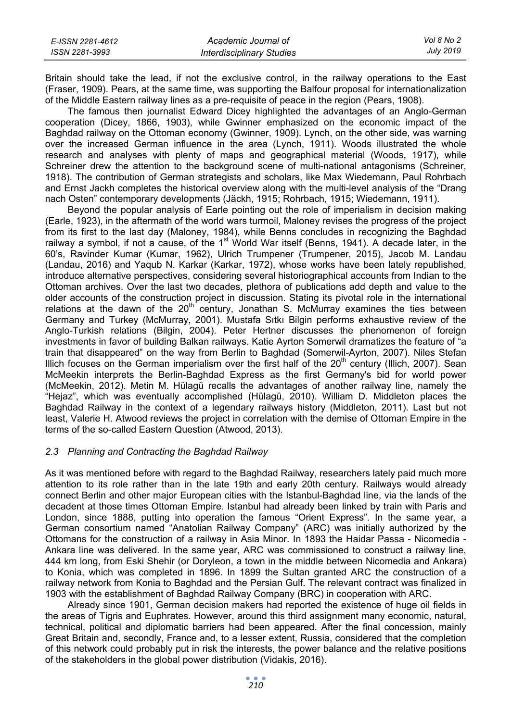| E-ISSN 2281-4612 | Academic Journal of       | Vol 8 No 2 |
|------------------|---------------------------|------------|
| ISSN 2281-3993   | Interdisciplinary Studies | July 2019  |

Britain should take the lead, if not the exclusive control, in the railway operations to the East (Fraser, 1909). Pears, at the same time, was supporting the Balfour proposal for internationalization of the Middle Eastern railway lines as a pre-requisite of peace in the region (Pears, 1908).

The famous then journalist Edward Dicey highlighted the advantages of an Anglo-German cooperation (Dicey, 1866, 1903), while Gwinner emphasized on the economic impact of the Baghdad railway on the Ottoman economy (Gwinner, 1909). Lynch, on the other side, was warning over the increased German influence in the area (Lynch, 1911). Woods illustrated the whole research and analyses with plenty of maps and geographical material (Woods, 1917), while Schreiner drew the attention to the background scene of multi-national antagonisms (Schreiner, 1918). The contribution of German strategists and scholars, like Max Wiedemann, Paul Rohrbach and Ernst Jackh completes the historical overview along with the multi-level analysis of the "Drang nach Osten" contemporary developments (Jäckh, 1915; Rohrbach, 1915; Wiedemann, 1911).

Beyond the popular analysis of Earle pointing out the role of imperialism in decision making (Earle, 1923), in the aftermath of the world wars turmoil, Maloney revises the progress of the project from its first to the last day (Maloney, 1984), while Benns concludes in recognizing the Baghdad railway a symbol, if not a cause, of the  $1<sup>st</sup>$  World War itself (Benns, 1941). A decade later, in the 60's, Ravinder Kumar (Kumar, 1962), Ulrich Trumpener (Trumpener, 2015), Jacob M. Landau (Landau, 2016) and Yaqub N. Karkar (Karkar, 1972), whose works have been lately republished, introduce alternative perspectives, considering several historiographical accounts from Indian to the Ottoman archives. Over the last two decades, plethora of publications add depth and value to the older accounts of the construction project in discussion. Stating its pivotal role in the international relations at the dawn of the  $20<sup>th</sup>$  century, Jonathan S. McMurray examines the ties between Germany and Turkey (McMurray, 2001). Mustafa Sıtkı Bilgin performs exhaustive review of the Anglo-Turkish relations (Bilgin, 2004). Peter Hertner discusses the phenomenon of foreign investments in favor of building Balkan railways. Katie Ayrton Somerwil dramatizes the feature of "a train that disappeared" on the way from Berlin to Baghdad (Somerwil-Ayrton, 2007). Niles Stefan Illich focuses on the German imperialism over the first half of the  $20<sup>th</sup>$  century (Illich, 2007). Sean McMeekin interprets the Berlin-Baghdad Express as the first Germany's bid for world power (McMeekin, 2012). Metin M. Hülagü recalls the advantages of another railway line, namely the "Hejaz", which was eventually accomplished (Hülagü, 2010). William D. Middleton places the Baghdad Railway in the context of a legendary railways history (Middleton, 2011). Last but not least, Valerie H. Atwood reviews the project in correlation with the demise of Ottoman Empire in the terms of the so-called Eastern Question (Atwood, 2013).

#### *2.3 Planning and Contracting the Baghdad Railway*

As it was mentioned before with regard to the Baghdad Railway, researchers lately paid much more attention to its role rather than in the late 19th and early 20th century. Railways would already connect Berlin and other major European cities with the Istanbul-Baghdad line, via the lands of the decadent at those times Ottoman Empire. Istanbul had already been linked by train with Paris and London, since 1888, putting into operation the famous "Orient Express". In the same year, a German consortium named "Anatolian Railway Company" (ARC) was initially authorized by the Ottomans for the construction of a railway in Asia Minor. In 1893 the Haidar Passa - Nicomedia - Ankara line was delivered. In the same year, ARC was commissioned to construct a railway line, 444 km long, from Eski Shehir (or Doryleon, a town in the middle between Nicomedia and Ankara) to Konia, which was completed in 1896. In 1899 the Sultan granted ARC the construction of a railway network from Konia to Baghdad and the Persian Gulf. The relevant contract was finalized in 1903 with the establishment of Baghdad Railway Company (BRC) in cooperation with ARC.

Already since 1901, German decision makers had reported the existence of huge oil fields in the areas of Tigris and Euphrates. However, around this third assignment many economic, natural, technical, political and diplomatic barriers had been appeared. After the final concession, mainly Great Britain and, secondly, France and, to a lesser extent, Russia, considered that the completion of this network could probably put in risk the interests, the power balance and the relative positions of the stakeholders in the global power distribution (Vidakis, 2016).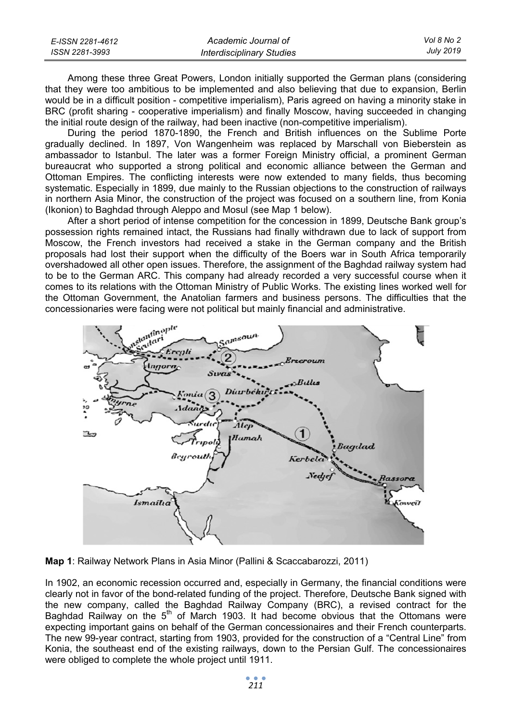| E-ISSN 2281-4612 | Academic Journal of              | Vol 8 No 2 |
|------------------|----------------------------------|------------|
| ISSN 2281-3993   | <b>Interdisciplinary Studies</b> | July 2019  |

Among these three Great Powers, London initially supported the German plans (considering that they were too ambitious to be implemented and also believing that due to expansion, Berlin would be in a difficult position - competitive imperialism), Paris agreed on having a minority stake in BRC (profit sharing - cooperative imperialism) and finally Moscow, having succeeded in changing the initial route design of the railway, had been inactive (non-competitive imperialism).

During the period 1870-1890, the French and British influences on the Sublime Porte gradually declined. In 1897, Von Wangenheim was replaced by Marschall von Bieberstein as ambassador to Istanbul. The later was a former Foreign Ministry official, a prominent German bureaucrat who supported a strong political and economic alliance between the German and Ottoman Empires. The conflicting interests were now extended to many fields, thus becoming systematic. Especially in 1899, due mainly to the Russian objections to the construction of railways in northern Asia Minor, the construction of the project was focused on a southern line, from Konia (Ikonion) to Baghdad through Aleppo and Mosul (see Map 1 below).

After a short period of intense competition for the concession in 1899, Deutsche Bank group's possession rights remained intact, the Russians had finally withdrawn due to lack of support from Moscow, the French investors had received a stake in the German company and the British proposals had lost their support when the difficulty of the Boers war in South Africa temporarily overshadowed all other open issues. Therefore, the assignment of the Baghdad railway system had to be to the German ARC. This company had already recorded a very successful course when it comes to its relations with the Ottoman Ministry of Public Works. The existing lines worked well for the Ottoman Government, the Anatolian farmers and business persons. The difficulties that the concessionaries were facing were not political but mainly financial and administrative.



**Map 1**: Railway Network Plans in Asia Minor (Pallini & Scaccabarozzi, 2011)

In 1902, an economic recession occurred and, especially in Germany, the financial conditions were clearly not in favor of the bond-related funding of the project. Therefore, Deutsche Bank signed with the new company, called the Baghdad Railway Company (BRC), a revised contract for the Baghdad Railway on the  $5<sup>th</sup>$  of March 1903. It had become obvious that the Ottomans were expecting important gains on behalf of the German concessionaires and their French counterparts. The new 99-year contract, starting from 1903, provided for the construction of a "Central Line" from Konia, the southeast end of the existing railways, down to the Persian Gulf. The concessionaires were obliged to complete the whole project until 1911.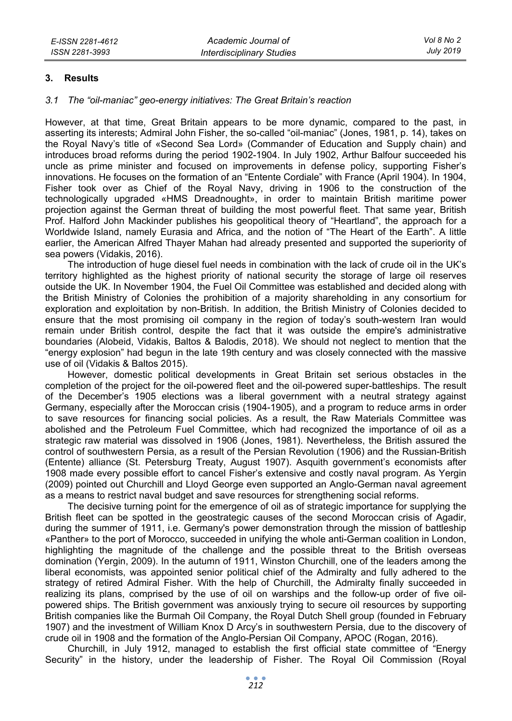#### **3. Results**

#### *3.1 The "oil-maniac" geo-energy initiatives: The Great Britain's reaction*

However, at that time, Great Britain appears to be more dynamic, compared to the past, in asserting its interests; Admiral John Fisher, the so-called "oil-maniac" (Jones, 1981, p. 14), takes on the Royal Navy's title of «Second Sea Lord» (Commander of Education and Supply chain) and introduces broad reforms during the period 1902-1904. In July 1902, Arthur Balfour succeeded his uncle as prime minister and focused on improvements in defense policy, supporting Fisher's innovations. He focuses on the formation of an "Entente Cordiale" with France (April 1904). In 1904, Fisher took over as Chief of the Royal Navy, driving in 1906 to the construction of the technologically upgraded «HMS Dreadnought», in order to maintain British maritime power projection against the German threat of building the most powerful fleet. That same year, British Prof. Halford John Mackinder publishes his geopolitical theory of "Heartland", the approach for a Worldwide Island, namely Eurasia and Africa, and the notion of "The Heart of the Earth". A little earlier, the American Alfred Thayer Mahan had already presented and supported the superiority of sea powers (Vidakis, 2016).

The introduction of huge diesel fuel needs in combination with the lack of crude oil in the UK's territory highlighted as the highest priority of national security the storage of large oil reserves outside the UK. In November 1904, the Fuel Oil Committee was established and decided along with the British Ministry of Colonies the prohibition of a majority shareholding in any consortium for exploration and exploitation by non-British. In addition, the British Ministry of Colonies decided to ensure that the most promising oil company in the region of today's south-western Iran would remain under British control, despite the fact that it was outside the empire's administrative boundaries (Alobeid, Vidakis, Baltos & Balodis, 2018). We should not neglect to mention that the "energy explosion" had begun in the late 19th century and was closely connected with the massive use of oil (Vidakis & Baltos 2015).

However, domestic political developments in Great Britain set serious obstacles in the completion of the project for the oil-powered fleet and the oil-powered super-battleships. The result of the December's 1905 elections was a liberal government with a neutral strategy against Germany, especially after the Moroccan crisis (1904-1905), and a program to reduce arms in order to save resources for financing social policies. As a result, the Raw Materials Committee was abolished and the Petroleum Fuel Committee, which had recognized the importance of oil as a strategic raw material was dissolved in 1906 (Jones, 1981). Nevertheless, the British assured the control of southwestern Persia, as a result of the Persian Revolution (1906) and the Russian-British (Entente) alliance (St. Petersburg Treaty, August 1907). Asquith government's economists after 1908 made every possible effort to cancel Fisher's extensive and costly naval program. As Yergin (2009) pointed out Churchill and Lloyd George even supported an Anglo-German naval agreement as a means to restrict naval budget and save resources for strengthening social reforms.

The decisive turning point for the emergence of oil as of strategic importance for supplying the British fleet can be spotted in the geostrategic causes of the second Moroccan crisis of Agadir, during the summer of 1911, i.e. Germany's power demonstration through the mission of battleship «Panther» to the port of Morocco, succeeded in unifying the whole anti-German coalition in London, highlighting the magnitude of the challenge and the possible threat to the British overseas domination (Yergin, 2009). In the autumn of 1911, Winston Churchill, one of the leaders among the liberal economists, was appointed senior political chief of the Admiralty and fully adhered to the strategy of retired Admiral Fisher. With the help of Churchill, the Admiralty finally succeeded in realizing its plans, comprised by the use of oil on warships and the follow-up order of five oilpowered ships. The British government was anxiously trying to secure oil resources by supporting British companies like the Burmah Oil Company, the Royal Dutch Shell group (founded in February 1907) and the investment of William Knox D Arcy's in southwestern Persia, due to the discovery of crude oil in 1908 and the formation of the Anglo-Persian Oil Company, APOC (Rogan, 2016).

Churchill, in July 1912, managed to establish the first official state committee of "Energy Security" in the history, under the leadership of Fisher. The Royal Oil Commission (Royal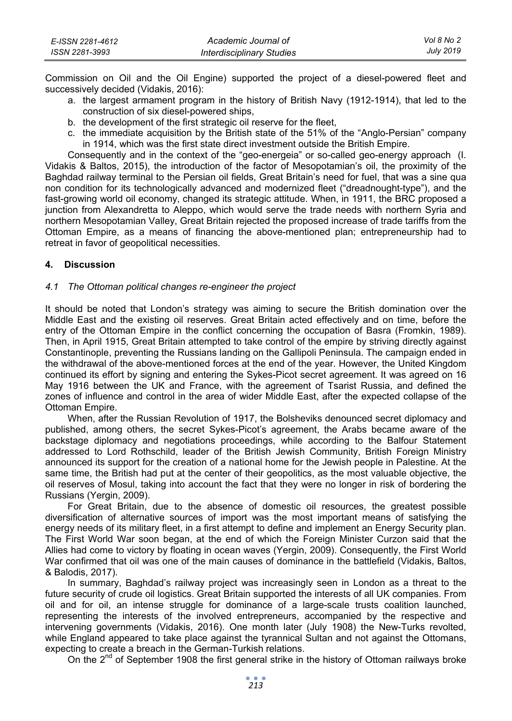| E-ISSN 2281-4612 | Academic Journal of       | Vol 8 No 2       |
|------------------|---------------------------|------------------|
| ISSN 2281-3993   | Interdisciplinary Studies | <b>July 2019</b> |

Commission on Oil and the Oil Engine) supported the project of a diesel-powered fleet and successively decided (Vidakis, 2016):

- a. the largest armament program in the history of British Navy (1912-1914), that led to the construction of six diesel-powered ships,
- b. the development of the first strategic oil reserve for the fleet,
- c. the immediate acquisition by the British state of the 51% of the "Anglo-Persian" company in 1914, which was the first state direct investment outside the British Empire.

Consequently and in the context of the "geo-energeia" or so-called geo-energy approach (I. Vidakis & Baltos, 2015), the introduction of the factor of Mesopotamian's oil, the proximity of the Baghdad railway terminal to the Persian oil fields, Great Britain's need for fuel, that was a sine qua non condition for its technologically advanced and modernized fleet ("dreadnought-type"), and the fast-growing world oil economy, changed its strategic attitude. When, in 1911, the BRC proposed a junction from Alexandretta to Aleppo, which would serve the trade needs with northern Syria and northern Mesopotamian Valley, Great Britain rejected the proposed increase of trade tariffs from the Ottoman Empire, as a means of financing the above-mentioned plan; entrepreneurship had to retreat in favor of geopolitical necessities.

#### **4. Discussion**

#### *4.1 The Ottoman political changes re-engineer the project*

It should be noted that London's strategy was aiming to secure the British domination over the Middle East and the existing oil reserves. Great Britain acted effectively and on time, before the entry of the Ottoman Empire in the conflict concerning the occupation of Basra (Fromkin, 1989). Then, in April 1915, Great Britain attempted to take control of the empire by striving directly against Constantinople, preventing the Russians landing on the Gallipoli Peninsula. The campaign ended in the withdrawal of the above-mentioned forces at the end of the year. However, the United Kingdom continued its effort by signing and entering the Sykes-Picot secret agreement. It was agreed on 16 May 1916 between the UK and France, with the agreement of Tsarist Russia, and defined the zones of influence and control in the area of wider Middle East, after the expected collapse of the Ottoman Empire.

When, after the Russian Revolution of 1917, the Bolsheviks denounced secret diplomacy and published, among others, the secret Sykes-Picot's agreement, the Arabs became aware of the backstage diplomacy and negotiations proceedings, while according to the Balfour Statement addressed to Lord Rothschild, leader of the British Jewish Community, British Foreign Ministry announced its support for the creation of a national home for the Jewish people in Palestine. At the same time, the British had put at the center of their geopolitics, as the most valuable objective, the oil reserves of Mosul, taking into account the fact that they were no longer in risk of bordering the Russians (Yergin, 2009).

For Great Britain, due to the absence of domestic oil resources, the greatest possible diversification of alternative sources of import was the most important means of satisfying the energy needs of its military fleet, in a first attempt to define and implement an Energy Security plan. The First World War soon began, at the end of which the Foreign Minister Curzon said that the Allies had come to victory by floating in ocean waves (Yergin, 2009). Consequently, the First World War confirmed that oil was one of the main causes of dominance in the battlefield (Vidakis, Baltos, & Balodis, 2017).

In summary, Baghdad's railway project was increasingly seen in London as a threat to the future security of crude oil logistics. Great Britain supported the interests of all UK companies. From oil and for oil, an intense struggle for dominance of a large-scale trusts coalition launched, representing the interests of the involved entrepreneurs, accompanied by the respective and intervening governments (Vidakis, 2016). One month later (July 1908) the New-Turks revolted, while England appeared to take place against the tyrannical Sultan and not against the Ottomans, expecting to create a breach in the German-Turkish relations.

On the  $2^{nd}$  of September 1908 the first general strike in the history of Ottoman railways broke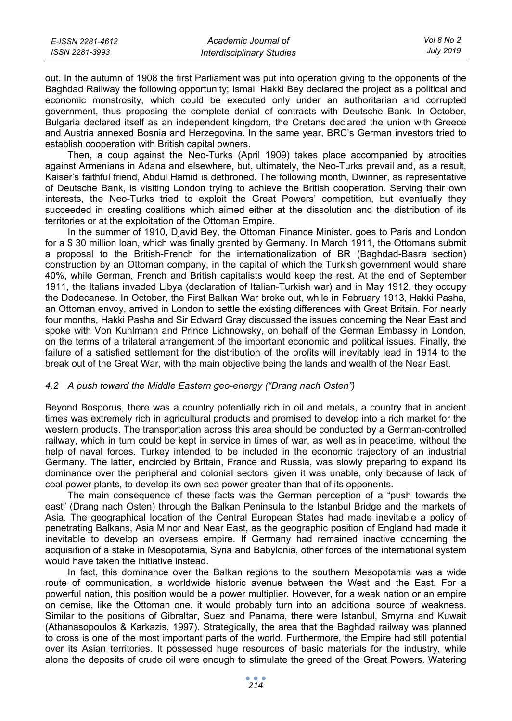| E-ISSN 2281-4612 | Academic Journal of              | Vol 8 No 2 |
|------------------|----------------------------------|------------|
| ISSN 2281-3993   | <b>Interdisciplinary Studies</b> | July 2019  |

out. In the autumn of 1908 the first Parliament was put into operation giving to the opponents of the Baghdad Railway the following opportunity; Ismail Hakki Bey declared the project as a political and economic monstrosity, which could be executed only under an authoritarian and corrupted government, thus proposing the complete denial of contracts with Deutsche Bank. In October, Bulgaria declared itself as an independent kingdom, the Cretans declared the union with Greece and Austria annexed Bosnia and Herzegovina. In the same year, BRC's German investors tried to establish cooperation with British capital owners.

Then, a coup against the Neo-Turks (April 1909) takes place accompanied by atrocities against Armenians in Adana and elsewhere, but, ultimately, the Neo-Turks prevail and, as a result, Kaiser's faithful friend, Abdul Hamid is dethroned. The following month, Dwinner, as representative of Deutsche Bank, is visiting London trying to achieve the British cooperation. Serving their own interests, the Neo-Turks tried to exploit the Great Powers' competition, but eventually they succeeded in creating coalitions which aimed either at the dissolution and the distribution of its territories or at the exploitation of the Ottoman Empire.

In the summer of 1910, Djavid Bey, the Ottoman Finance Minister, goes to Paris and London for a \$ 30 million loan, which was finally granted by Germany. In March 1911, the Ottomans submit a proposal to the British-French for the internationalization of BR (Baghdad-Basra section) construction by an Ottoman company, in the capital of which the Turkish government would share 40%, while German, French and British capitalists would keep the rest. At the end of September 1911, the Italians invaded Libya (declaration of Italian-Turkish war) and in May 1912, they occupy the Dodecanese. In October, the First Balkan War broke out, while in February 1913, Hakki Pasha, an Ottoman envoy, arrived in London to settle the existing differences with Great Britain. For nearly four months, Hakki Pasha and Sir Edward Gray discussed the issues concerning the Near East and spoke with Von Kuhlmann and Prince Lichnowsky, on behalf of the German Embassy in London, on the terms of a trilateral arrangement of the important economic and political issues. Finally, the failure of a satisfied settlement for the distribution of the profits will inevitably lead in 1914 to the break out of the Great War, with the main objective being the lands and wealth of the Near East.

#### *4.2 A push toward the Middle Eastern geo-energy ("Drang nach Osten")*

Beyond Bosporus, there was a country potentially rich in oil and metals, a country that in ancient times was extremely rich in agricultural products and promised to develop into a rich market for the western products. The transportation across this area should be conducted by a German-controlled railway, which in turn could be kept in service in times of war, as well as in peacetime, without the help of naval forces. Turkey intended to be included in the economic trajectory of an industrial Germany. The latter, encircled by Britain, France and Russia, was slowly preparing to expand its dominance over the peripheral and colonial sectors, given it was unable, only because of lack of coal power plants, to develop its own sea power greater than that of its opponents.

The main consequence of these facts was the German perception of a "push towards the east" (Drang nach Osten) through the Balkan Peninsula to the Istanbul Bridge and the markets of Asia. The geographical location of the Central European States had made inevitable a policy of penetrating Balkans, Asia Minor and Near East, as the geographic position of England had made it inevitable to develop an overseas empire. If Germany had remained inactive concerning the acquisition of a stake in Mesopotamia, Syria and Babylonia, other forces of the international system would have taken the initiative instead.

In fact, this dominance over the Balkan regions to the southern Mesopotamia was a wide route of communication, a worldwide historic avenue between the West and the East. For a powerful nation, this position would be a power multiplier. However, for a weak nation or an empire on demise, like the Ottoman one, it would probably turn into an additional source of weakness. Similar to the positions of Gibraltar, Suez and Panama, there were Istanbul, Smyrna and Kuwait (Athanasopoulos & Karkazis, 1997). Strategically, the area that the Baghdad railway was planned to cross is one of the most important parts of the world. Furthermore, the Empire had still potential over its Asian territories. It possessed huge resources of basic materials for the industry, while alone the deposits of crude oil were enough to stimulate the greed of the Great Powers. Watering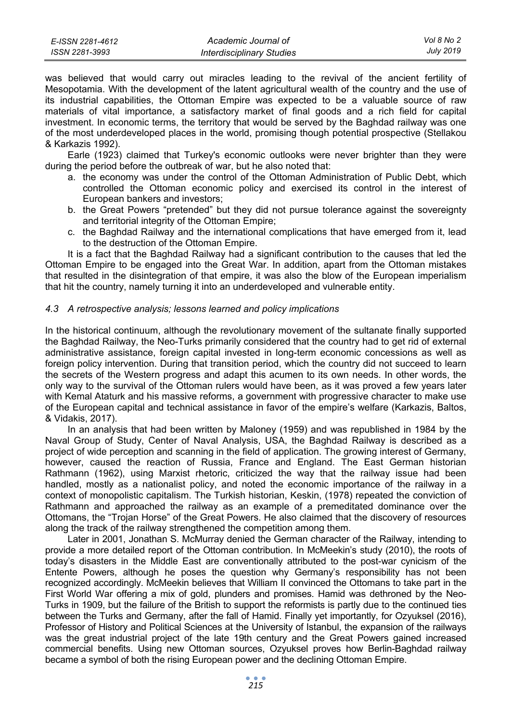| E-ISSN 2281-4612 | Academic Journal of              | Vol 8 No 2       |
|------------------|----------------------------------|------------------|
| ISSN 2281-3993   | <b>Interdisciplinary Studies</b> | <b>July 2019</b> |

was believed that would carry out miracles leading to the revival of the ancient fertility of Mesopotamia. With the development of the latent agricultural wealth of the country and the use of its industrial capabilities, the Ottoman Empire was expected to be a valuable source of raw materials of vital importance, a satisfactory market of final goods and a rich field for capital investment. In economic terms, the territory that would be served by the Baghdad railway was one of the most underdeveloped places in the world, promising though potential prospective (Stellakou & Karkazis 1992).

Earle (1923) claimed that Turkey's economic outlooks were never brighter than they were during the period before the outbreak of war, but he also noted that:

- a. the economy was under the control of the Ottoman Administration of Public Debt, which controlled the Ottoman economic policy and exercised its control in the interest of European bankers and investors;
- b. the Great Powers "pretended" but they did not pursue tolerance against the sovereignty and territorial integrity of the Ottoman Empire;
- c. the Baghdad Railway and the international complications that have emerged from it, lead to the destruction of the Ottoman Empire.

It is a fact that the Baghdad Railway had a significant contribution to the causes that led the Ottoman Empire to be engaged into the Great War. In addition, apart from the Ottoman mistakes that resulted in the disintegration of that empire, it was also the blow of the European imperialism that hit the country, namely turning it into an underdeveloped and vulnerable entity.

#### *4.3 A retrospective analysis; lessons learned and policy implications*

In the historical continuum, although the revolutionary movement of the sultanate finally supported the Baghdad Railway, the Neo-Turks primarily considered that the country had to get rid of external administrative assistance, foreign capital invested in long-term economic concessions as well as foreign policy intervention. During that transition period, which the country did not succeed to learn the secrets of the Western progress and adapt this acumen to its own needs. In other words, the only way to the survival of the Ottoman rulers would have been, as it was proved a few years later with Kemal Ataturk and his massive reforms, a government with progressive character to make use of the European capital and technical assistance in favor of the empire's welfare (Karkazis, Baltos, & Vidakis, 2017).

In an analysis that had been written by Maloney (1959) and was republished in 1984 by the Naval Group of Study, Center of Naval Analysis, USA, the Baghdad Railway is described as a project of wide perception and scanning in the field of application. The growing interest of Germany, however, caused the reaction of Russia, France and England. The East German historian Rathmann (1962), using Marxist rhetoric, criticized the way that the railway issue had been handled, mostly as a nationalist policy, and noted the economic importance of the railway in a context of monopolistic capitalism. The Turkish historian, Keskin, (1978) repeated the conviction of Rathmann and approached the railway as an example of a premeditated dominance over the Ottomans, the "Trojan Horse" of the Great Powers. He also claimed that the discovery of resources along the track of the railway strengthened the competition among them.

Later in 2001, Jonathan S. McMurray denied the German character of the Railway, intending to provide a more detailed report of the Ottoman contribution. In McMeekin's study (2010), the roots of today's disasters in the Middle East are conventionally attributed to the post-war cynicism of the Entente Powers, although he poses the question why Germany's responsibility has not been recognized accordingly. McMeekin believes that William II convinced the Ottomans to take part in the First World War offering a mix of gold, plunders and promises. Hamid was dethroned by the Neo-Turks in 1909, but the failure of the British to support the reformists is partly due to the continued ties between the Turks and Germany, after the fall of Hamid. Finally yet importantly, for Ozyuksel (2016), Professor of History and Political Sciences at the University of Istanbul, the expansion of the railways was the great industrial project of the late 19th century and the Great Powers gained increased commercial benefits. Using new Ottoman sources, Ozyuksel proves how Berlin-Baghdad railway became a symbol of both the rising European power and the declining Ottoman Empire.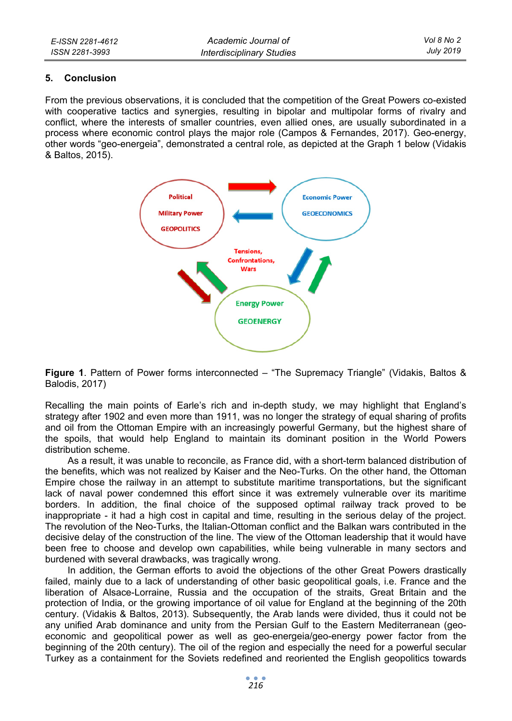#### **5. Conclusion**

From the previous observations, it is concluded that the competition of the Great Powers co-existed with cooperative tactics and synergies, resulting in bipolar and multipolar forms of rivalry and conflict, where the interests of smaller countries, even allied ones, are usually subordinated in a process where economic control plays the major role (Campos & Fernandes, 2017). Geo-energy, other words "geo-energeia", demonstrated a central role, as depicted at the Graph 1 below (Vidakis & Baltos, 2015).



**Figure 1**. Pattern of Power forms interconnected – "The Supremacy Triangle" (Vidakis, Baltos & Balodis, 2017)

Recalling the main points of Earle's rich and in-depth study, we may highlight that England's strategy after 1902 and even more than 1911, was no longer the strategy of equal sharing of profits and oil from the Ottoman Empire with an increasingly powerful Germany, but the highest share of the spoils, that would help England to maintain its dominant position in the World Powers distribution scheme.

As a result, it was unable to reconcile, as France did, with a short-term balanced distribution of the benefits, which was not realized by Kaiser and the Neo-Turks. On the other hand, the Ottoman Empire chose the railway in an attempt to substitute maritime transportations, but the significant lack of naval power condemned this effort since it was extremely vulnerable over its maritime borders. In addition, the final choice of the supposed optimal railway track proved to be inappropriate - it had a high cost in capital and time, resulting in the serious delay of the project. The revolution of the Neo-Turks, the Italian-Ottoman conflict and the Balkan wars contributed in the decisive delay of the construction of the line. The view of the Ottoman leadership that it would have been free to choose and develop own capabilities, while being vulnerable in many sectors and burdened with several drawbacks, was tragically wrong.

In addition, the German efforts to avoid the objections of the other Great Powers drastically failed, mainly due to a lack of understanding of other basic geopolitical goals, i.e. France and the liberation of Alsace-Lorraine, Russia and the occupation of the straits, Great Britain and the protection of India, or the growing importance of oil value for England at the beginning of the 20th century. (Vidakis & Baltos, 2013). Subsequently, the Arab lands were divided, thus it could not be any unified Arab dominance and unity from the Persian Gulf to the Eastern Mediterranean (geoeconomic and geopolitical power as well as geo-energeia/geo-energy power factor from the beginning of the 20th century). The oil of the region and especially the need for a powerful secular Turkey as a containment for the Soviets redefined and reoriented the English geopolitics towards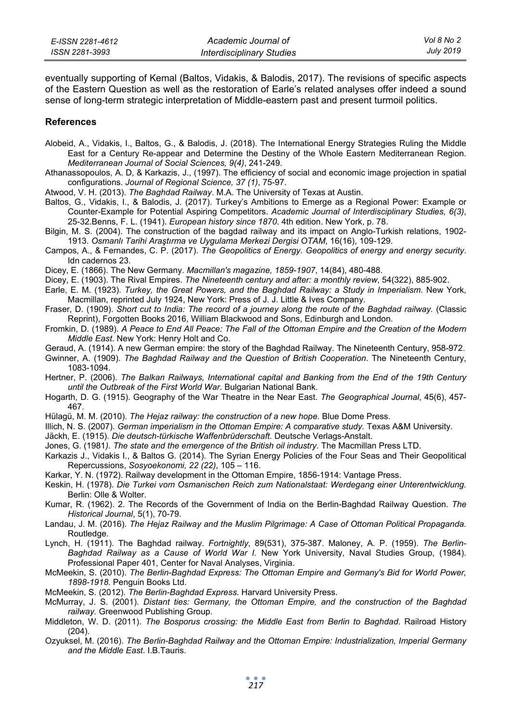| E-ISSN 2281-4612 | Academic Journal of              | Vol 8 No 2 |
|------------------|----------------------------------|------------|
| ISSN 2281-3993   | <b>Interdisciplinary Studies</b> | July 2019  |

eventually supporting of Kemal (Baltos, Vidakis, & Balodis, 2017). The revisions of specific aspects of the Eastern Question as well as the restoration of Earle's related analyses offer indeed a sound sense of long-term strategic interpretation of Middle-eastern past and present turmoil politics.

#### **References**

- Alobeid, A., Vidakis, I., Baltos, G., & Balodis, J. (2018). The International Energy Strategies Ruling the Middle East for a Century Re-appear and Determine the Destiny of the Whole Eastern Mediterranean Region. *Mediterranean Journal of Social Sciences, 9(4)*, 241-249.
- Athanassopoulos, A. D, & Karkazis, J., (1997). The efficiency of social and economic image projection in spatial configurations. *Journal of Regional Science, 37 (1)*, 75-97.
- Atwood, V. H. (2013). *The Baghdad Railway*. M.A. The University of Texas at Austin.
- Baltos, G., Vidakis, I., & Balodis, J. (2017). Turkey's Ambitions to Emerge as a Regional Power: Example or Counter-Example for Potential Aspiring Competitors. *Academic Journal of Interdisciplinary Studies, 6(3)*, 25-32.Benns, F. L. (1941). *European history since 1870*. 4th edition. New York, p. 78.
- Bilgin, M. S. (2004). The construction of the bagdad railway and its impact on Anglo-Turkish relations, 1902- 1913. *Osmanlı Tarihi Araştırma ve Uygulama Merkezi Dergisi OTAM*, 16(16), 109-129.
- Campos, A., & Fernandes, C. P. (2017). *The Geopolitics of Energy. Geopolitics of energy and energy security*. Idn cadernos 23.
- Dicey, E. (1866). The New Germany. *Macmillan's magazine, 1859-1907*, 14(84), 480-488.
- Dicey, E. (1903). The Rival Empires. *The Nineteenth century and after: a monthly review*, 54(322), 885-902.
- Earle, E. M. (1923). *Turkey, the Great Powers, and the Baghdad Railway: a Study in Imperialism*. New York, Macmillan, reprinted July 1924, New York: Press of J. J. Little & Ives Company.
- Fraser, D. (1909). *Short cut to India: The record of a journey along the route of the Baghdad railway.* (Classic Reprint), Forgotten Books 2016, William Blackwood and Sons, Edinburgh and London.
- Fromkin, D. (1989). *A Peace to End All Peace: The Fall of the Ottoman Empire and the Creation of the Modern Middle East*. New York: Henry Holt and Co.
- Geraud, A. (1914). A new German empire: the story of the Baghdad Railway. The Nineteenth Century, 958-972.
- Gwinner, A. (1909). *The Baghdad Railway and the Question of British Cooperation*. The Nineteenth Century, 1083-1094.
- Hertner, P. (2006). *The Balkan Railways, International capital and Banking from the End of the 19th Century until the Outbreak of the First World War.* Bulgarian National Bank.
- Hogarth, D. G. (1915). Geography of the War Theatre in the Near East. *The Geographical Journal*, 45(6), 457- 467.
- Hülagü, M. M. (2010). *The Hejaz railway: the construction of a new hope.* Blue Dome Press.
- Illich, N. S. (2007). *German imperialism in the Ottoman Empire: A comparative study.* Texas A&M University.
- Jäckh, E. (1915). *Die deutsch-türkische Waffenbrüderschaft.* Deutsche Verlags-Anstalt.
- Jones, G. (1981*). The state and the emergence of the British oil industry*. The Macmillan Press LTD.
- Karkazis J., Vidakis I., & Baltos G. (2014). The Syrian Energy Policies of the Four Seas and Their Geopolitical Repercussions, *Sosyoekonomi, 22 (22)*, 105 – 116.
- Karkar, Y. N. (1972). Railway development in the Ottoman Empire, 1856-1914: Vantage Press.
- Keskin, H. (1978). *Die Turkei vom Osmanischen Reich zum Nationalstaat: Werdegang einer Unterentwicklung.* Berlin: Olle & Wolter.
- Kumar, R. (1962). 2. The Records of the Government of India on the Berlin-Baghdad Railway Question. *The Historical Journal*, 5(1), 70-79.
- Landau, J. M. (2016). *The Hejaz Railway and the Muslim Pilgrimage: A Case of Ottoman Political Propaganda.* Routledge.
- Lynch, H. (1911). The Baghdad railway. *Fortnightly*, 89(531), 375-387. Maloney, A. P. (1959). *The Berlin-Baghdad Railway as a Cause of World War I.* New York University, Naval Studies Group, (1984). Professional Paper 401, Center for Naval Analyses, Virginia.
- McMeekin, S. (2010). *The Berlin-Baghdad Express: The Ottoman Empire and Germany's Bid for World Power, 1898-1918*. Penguin Books Ltd.
- McMeekin, S. (2012). *The Berlin-Baghdad Express.* Harvard University Press.
- McMurray, J. S. (2001). *Distant ties: Germany, the Ottoman Empire, and the construction of the Baghdad railway.* Greenwood Publishing Group.
- Middleton, W. D. (2011). *The Bosporus crossing: the Middle East from Berlin to Baghdad*. Railroad History (204).
- Ozyuksel, M. (2016). *The Berlin-Baghdad Railway and the Ottoman Empire: Industrialization, Imperial Germany and the Middle East*. I.B.Tauris.